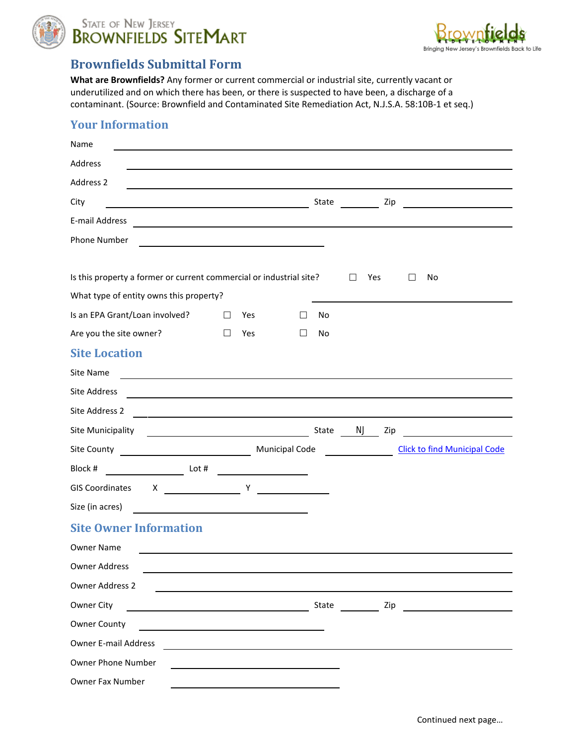

STATE OF NEW JERSEY<br>BROWNFIELDS SITEMART



## **Brownfields Submittal Form**

**What are Brownfields?** Any former or current commercial or industrial site, currently vacant or underutilized and on which there has been, or there is suspected to have been, a discharge of a contaminant. (Source: Brownfield and Contaminated Site Remediation Act, N.J.S.A. 58:10B-1 et seq.)

## **Your Information**

| Name                                                                                                                                        |        |     |              |       |     |                                     |  |
|---------------------------------------------------------------------------------------------------------------------------------------------|--------|-----|--------------|-------|-----|-------------------------------------|--|
| Address                                                                                                                                     |        |     |              |       |     |                                     |  |
| Address 2                                                                                                                                   |        |     |              |       |     |                                     |  |
| City<br><u> Alexandria de la contrada de la contrada de la con</u>                                                                          |        |     |              | State |     | Zip                                 |  |
| E-mail Address                                                                                                                              |        |     |              |       |     |                                     |  |
| <b>Phone Number</b>                                                                                                                         |        |     |              |       |     |                                     |  |
|                                                                                                                                             |        |     |              |       |     |                                     |  |
| Is this property a former or current commercial or industrial site?                                                                         |        |     |              |       | Yes | No                                  |  |
| What type of entity owns this property?                                                                                                     |        |     |              |       |     |                                     |  |
| Is an EPA Grant/Loan involved?                                                                                                              | $\Box$ | Yes |              | No    |     |                                     |  |
| Are you the site owner?                                                                                                                     | $\Box$ | Yes | $\mathbf{L}$ | No    |     |                                     |  |
| <b>Site Location</b>                                                                                                                        |        |     |              |       |     |                                     |  |
| Site Name                                                                                                                                   |        |     |              |       |     |                                     |  |
| Site Address                                                                                                                                |        |     |              |       |     |                                     |  |
| Site Address 2                                                                                                                              |        |     |              |       |     |                                     |  |
| Site Municipality                                                                                                                           |        |     |              | State | NJ  | Zip                                 |  |
|                                                                                                                                             |        |     |              |       |     | <b>Click to find Municipal Code</b> |  |
| Block #<br><b>Example 1</b> Lot #                                                                                                           |        |     |              |       |     |                                     |  |
| $X \sim \qquad \qquad Y$<br><b>GIS Coordinates</b>                                                                                          |        |     |              |       |     |                                     |  |
| Size (in acres)                                                                                                                             |        |     |              |       |     |                                     |  |
| <b>Site Owner Information</b>                                                                                                               |        |     |              |       |     |                                     |  |
| <b>Owner Name</b>                                                                                                                           |        |     |              |       |     |                                     |  |
| <b>Owner Address</b>                                                                                                                        |        |     |              |       |     |                                     |  |
| Owner Address 2                                                                                                                             |        |     |              |       |     |                                     |  |
| Owner City                                                                                                                                  |        |     |              | State |     | Zip                                 |  |
| <b>Owner County</b><br><u> 1989 - Johann Harry Barn, mars ar breist fan de Amerikaansk kommunent fan de Amerikaanske kommunent fan de A</u> |        |     |              |       |     |                                     |  |
| <b>Owner E-mail Address</b>                                                                                                                 |        |     |              |       |     |                                     |  |
| Owner Phone Number                                                                                                                          |        |     |              |       |     |                                     |  |
| Owner Fax Number                                                                                                                            |        |     |              |       |     |                                     |  |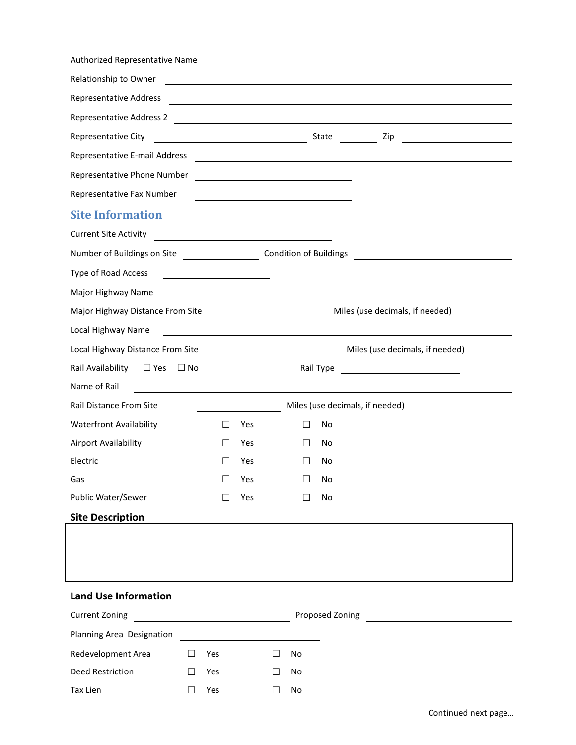| Authorized Representative Name                            |                                               |     |                                                         |                 |                                                            |  |
|-----------------------------------------------------------|-----------------------------------------------|-----|---------------------------------------------------------|-----------------|------------------------------------------------------------|--|
| Relationship to Owner                                     |                                               |     |                                                         |                 |                                                            |  |
| Representative Address                                    |                                               |     |                                                         |                 | <u> 1986 - John Stein, Amerikaansk politiker (</u>         |  |
|                                                           |                                               |     |                                                         |                 |                                                            |  |
| Representative City                                       | <u> 1989 - Johann Barn, mars eta bainar e</u> |     |                                                         |                 | State<br>Zip                                               |  |
| Representative E-mail Address                             |                                               |     |                                                         |                 | <u> 1989 - Johann John Stein, fransk politik (d. 1989)</u> |  |
| Representative Phone Number                               |                                               |     |                                                         |                 |                                                            |  |
| Representative Fax Number                                 |                                               |     |                                                         |                 |                                                            |  |
| <b>Site Information</b>                                   |                                               |     |                                                         |                 |                                                            |  |
| <b>Current Site Activity</b>                              |                                               |     |                                                         |                 |                                                            |  |
| Number of Buildings on Site <b>Condition of Buildings</b> |                                               |     |                                                         |                 |                                                            |  |
| Type of Road Access                                       |                                               |     |                                                         |                 |                                                            |  |
| Major Highway Name                                        |                                               |     |                                                         |                 |                                                            |  |
| Major Highway Distance From Site                          |                                               |     |                                                         |                 | Miles (use decimals, if needed)                            |  |
| Local Highway Name                                        |                                               |     | <u> 1980 - Johann Barbara, martin amerikan basal da</u> |                 |                                                            |  |
| Local Highway Distance From Site                          |                                               |     | <u> 1990 - Johann Barbara, mart</u>                     |                 | Miles (use decimals, if needed)                            |  |
| Rail Availability □ Yes                                   | $\Box$ No                                     |     |                                                         | Rail Type       | −∣<br><u> Albanya (Albanya)</u>                            |  |
| Name of Rail                                              |                                               |     |                                                         |                 |                                                            |  |
| Rail Distance From Site                                   |                                               |     |                                                         |                 | Miles (use decimals, if needed)                            |  |
| <b>Waterfront Availability</b>                            | $\perp$                                       | Yes | $\Box$                                                  | No              |                                                            |  |
| Airport Availability                                      |                                               | Yes |                                                         | No              |                                                            |  |
| Electric                                                  |                                               | Yes |                                                         | No              |                                                            |  |
| Gas                                                       |                                               | Yes |                                                         | No              |                                                            |  |
| Public Water/Sewer                                        |                                               | Yes |                                                         | No              |                                                            |  |
| <b>Site Description</b>                                   |                                               |     |                                                         |                 |                                                            |  |
|                                                           |                                               |     |                                                         |                 |                                                            |  |
|                                                           |                                               |     |                                                         |                 |                                                            |  |
|                                                           |                                               |     |                                                         |                 |                                                            |  |
| <b>Land Use Information</b>                               |                                               |     |                                                         |                 |                                                            |  |
| <b>Current Zoning</b>                                     |                                               |     |                                                         | Proposed Zoning |                                                            |  |
| Planning Area Designation                                 |                                               |     |                                                         |                 |                                                            |  |
| Redevelopment Area                                        | Yes                                           |     | No                                                      |                 |                                                            |  |
| Deed Restriction                                          | Yes<br>$\mathbb{R}^n$                         |     | No<br>П                                                 |                 |                                                            |  |
| Tax Lien                                                  | Yes<br>$\Box$                                 |     | No<br>$\Box$                                            |                 |                                                            |  |